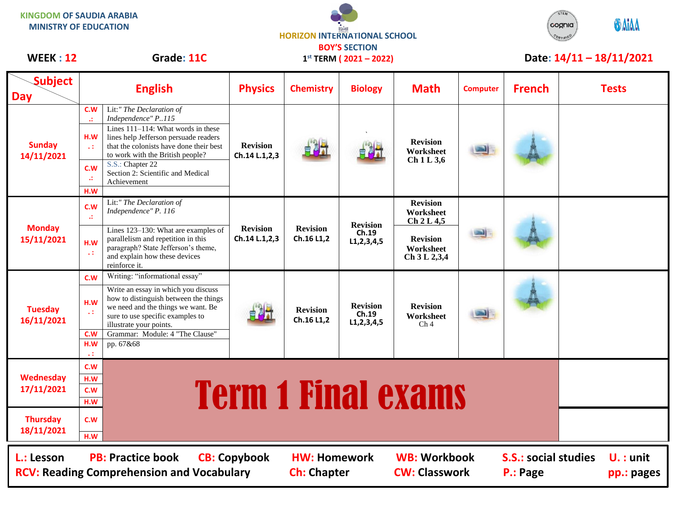| <b>KINGDOM OF SAUDIA ARABIA</b><br><b>MINISTRY OF EDUCATION</b> |                                                                        |                                                                                                                                                                                                                                                                                      | <b>HORIZON INTERNATIONAL SCHOOL</b>                 |                               |                                            |                                                                                            |                 |                            | <b>ODAIAA</b><br>cognia<br>$c_{\epsilon_{RTIF}}$ |
|-----------------------------------------------------------------|------------------------------------------------------------------------|--------------------------------------------------------------------------------------------------------------------------------------------------------------------------------------------------------------------------------------------------------------------------------------|-----------------------------------------------------|-------------------------------|--------------------------------------------|--------------------------------------------------------------------------------------------|-----------------|----------------------------|--------------------------------------------------|
| WEEK: 12                                                        | Grade: 11C                                                             |                                                                                                                                                                                                                                                                                      | <b>BOY'S SECTION</b><br>$1^{st}$ TERM (2021 – 2022) |                               |                                            |                                                                                            |                 | Date: $14/11 - 18/11/2021$ |                                                  |
| <b>Subject</b><br><b>Day</b>                                    |                                                                        | <b>English</b>                                                                                                                                                                                                                                                                       | <b>Physics</b>                                      | <b>Chemistry</b>              | <b>Biology</b>                             | <b>Math</b>                                                                                | <b>Computer</b> | <b>French</b>              | <b>Tests</b>                                     |
| <b>Sunday</b><br>14/11/2021                                     | C.W<br>$\mathcal{L}$<br>H.W<br>$\sim 1$<br>C.W<br>$\mathcal{L}$<br>H.W | Lit:" The Declaration of<br>Independence" P115<br>Lines 111-114: What words in these<br>lines help Jefferson persuade readers<br>that the colonists have done their best<br>to work with the British people?<br>S.S.: Chapter 22<br>Section 2: Scientific and Medical<br>Achievement | <b>Revision</b><br>Ch.14 L.1,2,3                    |                               |                                            | <b>Revision</b><br>Worksheet<br>Ch 1 L 3,6                                                 |                 |                            |                                                  |
| <b>Monday</b><br>15/11/2021                                     | C.W<br>$\mathcal{A}^{\mathcal{I}}$<br>H.W<br>v.                        | Lit:" The Declaration of<br>Independence" P. 116<br>Lines 123-130: What are examples of<br>parallelism and repetition in this<br>paragraph? State Jefferson's theme,<br>and explain how these devices<br>reinforce it.                                                               | <b>Revision</b><br>Ch.14 L.1,2,3                    | <b>Revision</b><br>Ch.16 L1,2 | <b>Revision</b><br>Ch.19<br>L1, 2, 3, 4, 5 | <b>Revision</b><br>Worksheet<br>Ch 2 L 4,5<br><b>Revision</b><br>Worksheet<br>Ch 3 L 2,3,4 |                 |                            |                                                  |
| <b>Tuesday</b><br>16/11/2021                                    | C.W<br>H.W<br>$\sim 10$<br>C.W<br>H.W<br>ч÷                            | Writing: "informational essay"<br>Write an essay in which you discuss<br>how to distinguish between the things<br>we need and the things we want. Be<br>sure to use specific examples to<br>illustrate your points.<br>Grammar: Module: 4 "The Clause"<br>pp. 67&68                  |                                                     | <b>Revision</b><br>Ch.16 L1,2 | <b>Revision</b><br>Ch.19<br>L1, 2, 3, 4, 5 | <b>Revision</b><br>Worksheet<br>Ch <sub>4</sub>                                            |                 |                            |                                                  |

## <u>H.W.</u> **H.W. Term 1 Final exams**

**18/11/2021 H.W L.: Lesson PB: Practice book CB: Copybook HW: Homework WB: Workbook S.S.: social studies U. : unit RCV: Reading Comprehension and Vocabulary Ch: Chapter CW: Classwork P.: Page pp.: pages** 

**Wednesday 17/11/2021**

**Thursday**

**C.W**

**C.W H.W**

**C.W**